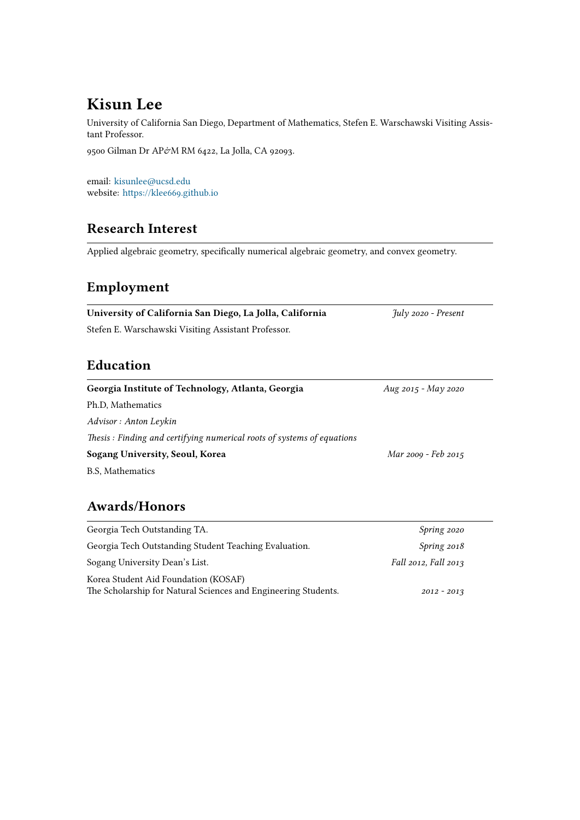# **Kisun Lee**

University of California San Diego, Department of Mathematics, Stefen E. Warschawski Visiting Assistant Professor.

9500 Gilman Dr AP&M RM 6422, La Jolla, CA 92093.

email: [kisunlee@ucsd.edu](mailto:kisunlee@ucsd.edu) website: <https://klee669.github.io>

## **Research Interest**

Applied algebraic geometry, specifically numerical algebraic geometry, and convex geometry.

# **Employment**

| University of California San Diego, La Jolla, California               | July 2020 - Present |
|------------------------------------------------------------------------|---------------------|
| Stefen E. Warschawski Visiting Assistant Professor.                    |                     |
|                                                                        |                     |
| Education                                                              |                     |
| Georgia Institute of Technology, Atlanta, Georgia                      | Aug 2015 - May 2020 |
| Ph.D. Mathematics                                                      |                     |
| Advisor : Anton Leykin                                                 |                     |
| Thesis: Finding and certifying numerical roots of systems of equations |                     |

**Sogang University, Seoul, Korea** *Mar 2009 - Feb 2015*

B.S, Mathematics

# **Awards/Honors**

| Georgia Tech Outstanding TA.                                                                           | Spring 2020          |
|--------------------------------------------------------------------------------------------------------|----------------------|
| Georgia Tech Outstanding Student Teaching Evaluation.                                                  | Spring 2018          |
| Sogang University Dean's List.                                                                         | Fall 2012, Fall 2013 |
| Korea Student Aid Foundation (KOSAF)<br>The Scholarship for Natural Sciences and Engineering Students. | $2012 - 2013$        |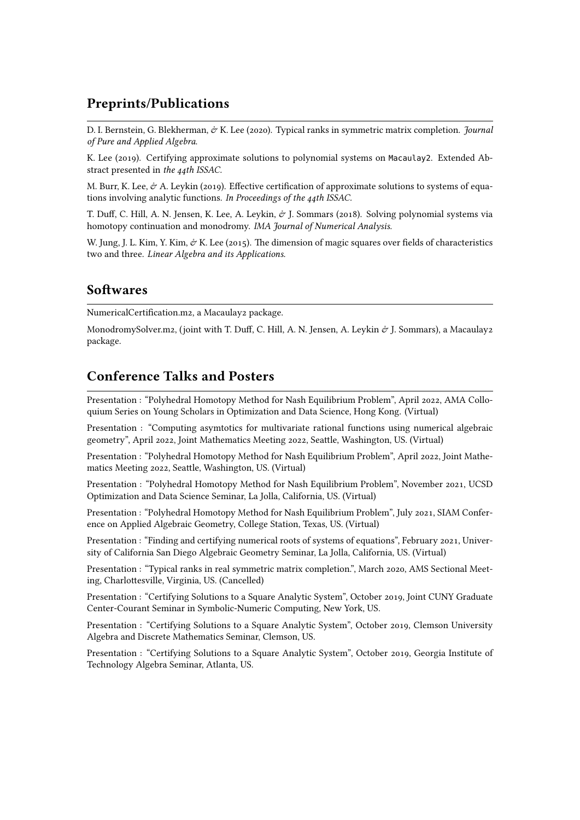### **Preprints/Publications**

D. I. Bernstein, G. Blekherman, & K. Lee (2020). Typical ranks in symmetric matrix completion. *Journal of Pure and Applied Algebra*.

K. Lee (2019). Certifying approximate solutions to polynomial systems on Macaulay2. Extended Abstract presented in *the 44th ISSAC.*

M. Burr, K. Lee,  $\dot{\varphi}$  A. Leykin (2019). Effective certification of approximate solutions to systems of equations involving analytic functions. *In Proceedings of the 44th ISSAC.*

T. Duff, C. Hill, A. N. Jensen, K. Lee, A. Leykin,  $\dot{\sigma}$  J. Sommars (2018). Solving polynomial systems via homotopy continuation and monodromy. *IMA Journal of Numerical Analysis.*

W. Jung, J. L. Kim, Y. Kim, & K. Lee (2015). The dimension of magic squares over fields of characteristics two and three. *Linear Algebra and its Applications.*

#### **Softwares**

NumericalCertification.m2, a Macaulay2 package.

MonodromySolver.m2, (joint with T. Duff, C. Hill, A. N. Jensen, A. Leykin  $\dot{\sigma}$  J. Sommars), a Macaulay2 package.

### **Conference Talks and Posters**

Presentation : "Polyhedral Homotopy Method for Nash Equilibrium Problem", April 2022, AMA Colloquium Series on Young Scholars in Optimization and Data Science, Hong Kong. (Virtual)

Presentation : "Computing asymtotics for multivariate rational functions using numerical algebraic geometry", April 2022, Joint Mathematics Meeting 2022, Seattle, Washington, US. (Virtual)

Presentation : "Polyhedral Homotopy Method for Nash Equilibrium Problem", April 2022, Joint Mathematics Meeting 2022, Seattle, Washington, US. (Virtual)

Presentation : "Polyhedral Homotopy Method for Nash Equilibrium Problem", November 2021, UCSD Optimization and Data Science Seminar, La Jolla, California, US. (Virtual)

Presentation : "Polyhedral Homotopy Method for Nash Equilibrium Problem", July 2021, SIAM Conference on Applied Algebraic Geometry, College Station, Texas, US. (Virtual)

Presentation : "Finding and certifying numerical roots of systems of equations", February 2021, University of California San Diego Algebraic Geometry Seminar, La Jolla, California, US. (Virtual)

Presentation : "Typical ranks in real symmetric matrix completion.", March 2020, AMS Sectional Meeting, Charlottesville, Virginia, US. (Cancelled)

Presentation : "Certifying Solutions to a Square Analytic System", October 2019, Joint CUNY Graduate Center-Courant Seminar in Symbolic-Numeric Computing, New York, US.

Presentation : "Certifying Solutions to a Square Analytic System", October 2019, Clemson University Algebra and Discrete Mathematics Seminar, Clemson, US.

Presentation : "Certifying Solutions to a Square Analytic System", October 2019, Georgia Institute of Technology Algebra Seminar, Atlanta, US.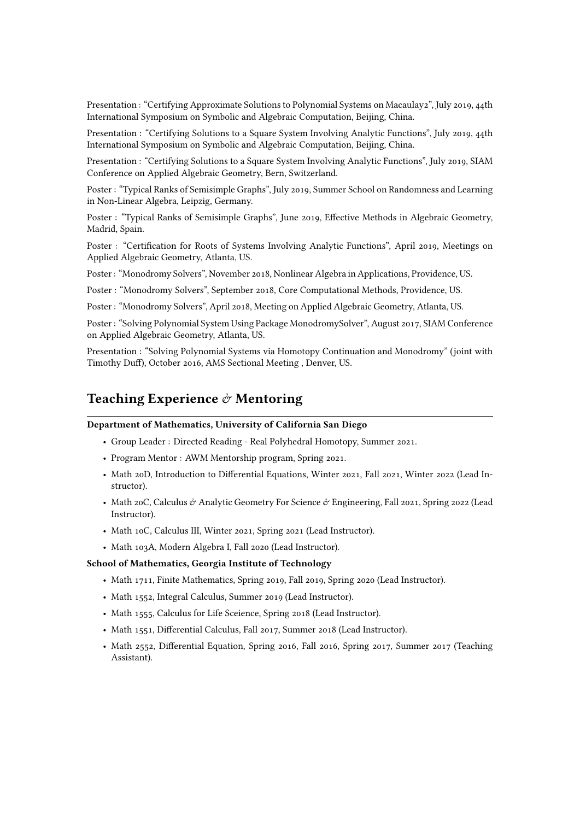Presentation : "Certifying Approximate Solutions to Polynomial Systems on Macaulay2", July 2019, 44th International Symposium on Symbolic and Algebraic Computation, Beijing, China.

Presentation : "Certifying Solutions to a Square System Involving Analytic Functions", July 2019, 44th International Symposium on Symbolic and Algebraic Computation, Beijing, China.

Presentation : "Certifying Solutions to a Square System Involving Analytic Functions", July 2019, SIAM Conference on Applied Algebraic Geometry, Bern, Switzerland.

Poster : "Typical Ranks of Semisimple Graphs", July 2019, Summer School on Randomness and Learning in Non-Linear Algebra, Leipzig, Germany.

Poster : "Typical Ranks of Semisimple Graphs", June 2019, Effective Methods in Algebraic Geometry, Madrid, Spain.

Poster : "Certification for Roots of Systems Involving Analytic Functions", April 2019, Meetings on Applied Algebraic Geometry, Atlanta, US.

Poster : "Monodromy Solvers", November 2018, Nonlinear Algebra in Applications, Providence, US.

Poster : "Monodromy Solvers", September 2018, Core Computational Methods, Providence, US.

Poster : "Monodromy Solvers", April 2018, Meeting on Applied Algebraic Geometry, Atlanta, US.

Poster : "Solving Polynomial System Using Package MonodromySolver", August 2017, SIAM Conference on Applied Algebraic Geometry, Atlanta, US.

Presentation : "Solving Polynomial Systems via Homotopy Continuation and Monodromy" (joint with Timothy Duff), October 2016, AMS Sectional Meeting , Denver, US.

### **Teaching Experience** & **Mentoring**

#### **Department of Mathematics, University of California San Diego**

- Group Leader : Directed Reading Real Polyhedral Homotopy, Summer 2021.
- Program Mentor : AWM Mentorship program, Spring 2021.
- Math 20D, Introduction to Differential Equations, Winter 2021, Fall 2021, Winter 2022 (Lead Instructor).
- Math 20C, Calculus  $\dot{\varphi}$  Analytic Geometry For Science  $\dot{\varphi}$  Engineering, Fall 2021, Spring 2022 (Lead Instructor).
- Math 10C, Calculus III, Winter 2021, Spring 2021 (Lead Instructor).
- Math 103A, Modern Algebra I, Fall 2020 (Lead Instructor).

#### **School of Mathematics, Georgia Institute of Technology**

- Math 1711, Finite Mathematics, Spring 2019, Fall 2019, Spring 2020 (Lead Instructor).
- Math 1552, Integral Calculus, Summer 2019 (Lead Instructor).
- Math 1555, Calculus for Life Sceience, Spring 2018 (Lead Instructor).
- Math 1551, Differential Calculus, Fall 2017, Summer 2018 (Lead Instructor).
- Math 2552, Differential Equation, Spring 2016, Fall 2016, Spring 2017, Summer 2017 (Teaching Assistant).